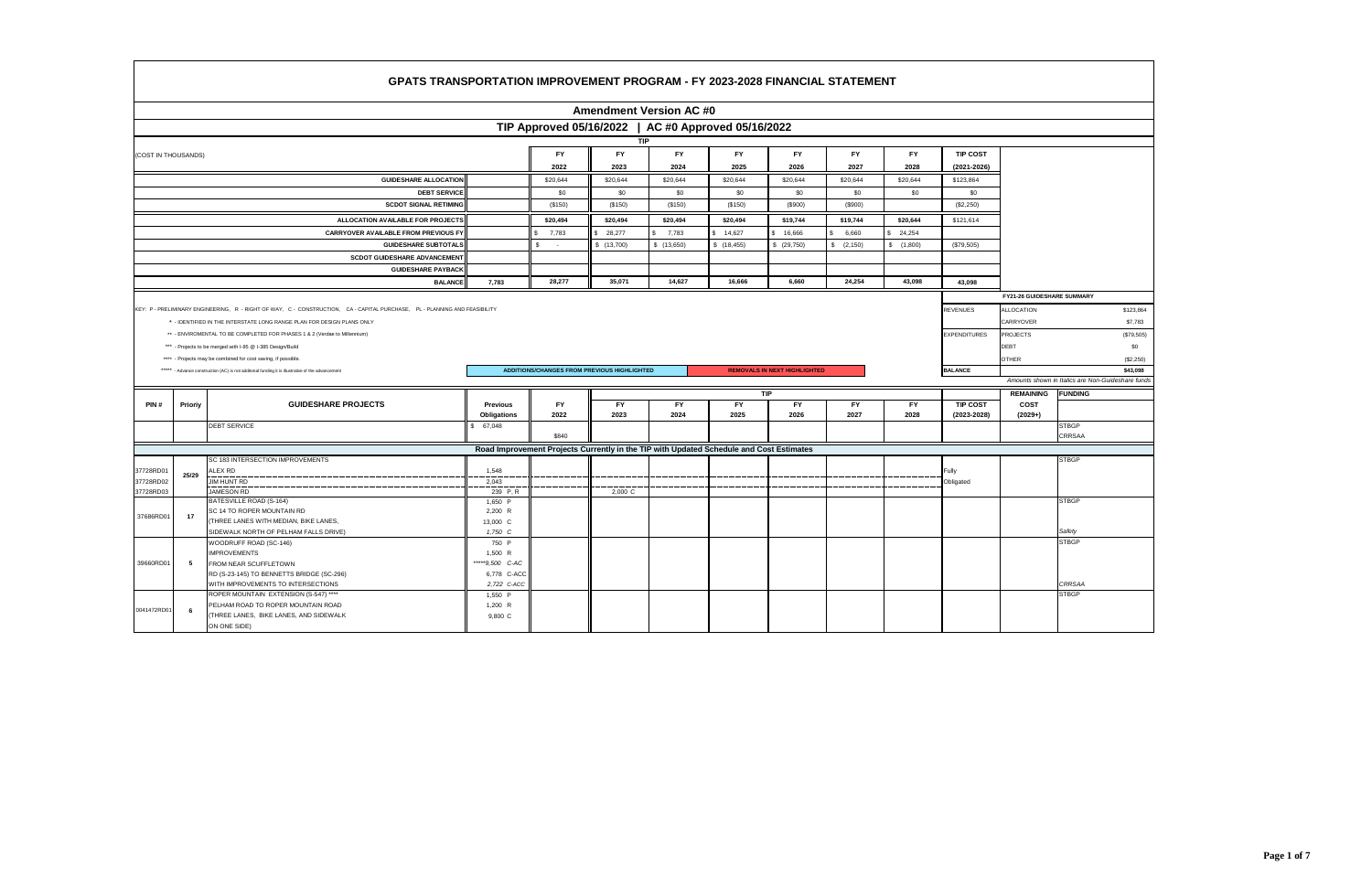|                        |         | <b>GPATS TRANSPORTATION IMPROVEMENT PROGRAM - FY 2023-2028 FINANCIAL STATEMENT</b>                                         |                           |              |                                             |             |                                                                                         |                                     |            |           |                     |                            |                                                  |
|------------------------|---------|----------------------------------------------------------------------------------------------------------------------------|---------------------------|--------------|---------------------------------------------|-------------|-----------------------------------------------------------------------------------------|-------------------------------------|------------|-----------|---------------------|----------------------------|--------------------------------------------------|
|                        |         |                                                                                                                            |                           |              | <b>Amendment Version AC #0</b>              |             |                                                                                         |                                     |            |           |                     |                            |                                                  |
|                        |         |                                                                                                                            |                           |              |                                             |             | TIP Approved 05/16/2022   AC #0 Approved 05/16/2022                                     |                                     |            |           |                     |                            |                                                  |
|                        |         |                                                                                                                            |                           |              | <b>TIP</b>                                  |             |                                                                                         |                                     |            |           |                     |                            |                                                  |
| (COST IN THOUSANDS)    |         |                                                                                                                            |                           | <b>FY</b>    | <b>FY</b>                                   | <b>FY</b>   | <b>FY</b>                                                                               | <b>FY</b>                           | <b>FY</b>  | <b>FY</b> | <b>TIP COST</b>     |                            |                                                  |
|                        |         |                                                                                                                            |                           | 2022         | 2023                                        | 2024        | 2025                                                                                    | 2026                                | 2027       | 2028      | $(2021 - 2026)$     |                            |                                                  |
|                        |         | <b>GUIDESHARE ALLOCATION</b>                                                                                               |                           | \$20,644     | \$20,644                                    | \$20,644    | \$20,644                                                                                | \$20,644                            | \$20,644   | \$20,644  | \$123,864           |                            |                                                  |
|                        |         | <b>DEBT SERVICE</b>                                                                                                        |                           | \$0          | \$0                                         | \$0         | \$0                                                                                     | \$0                                 | \$0        | \$0       | \$0                 |                            |                                                  |
|                        |         | <b>SCDOT SIGNAL RETIMING</b>                                                                                               |                           | (\$150)      | (\$150)                                     | (\$150)     | (\$150)                                                                                 | (S900)                              | (\$900)    |           | (\$2,250)           |                            |                                                  |
|                        |         |                                                                                                                            |                           |              |                                             |             |                                                                                         |                                     |            |           |                     |                            |                                                  |
|                        |         | ALLOCATION AVAILABLE FOR PROJECTS                                                                                          |                           | \$20,494     | \$20,494                                    | \$20,494    | \$20,494                                                                                | \$19,744                            | \$19,744   | \$20,644  | \$121,614           |                            |                                                  |
|                        |         | CARRYOVER AVAILABLE FROM PREVIOUS FY                                                                                       |                           | 7,783        | 28,277                                      | 7,783<br>\$ | 14,627                                                                                  | 16,666                              | 6,660      | 24,254    |                     |                            |                                                  |
|                        |         | <b>GUIDESHARE SUBTOTALS</b>                                                                                                |                           | \$<br>$\sim$ | \$(13,700)                                  | \$(13,650)  | \$(18, 455)                                                                             | \$ (29,750)                         | \$ (2,150) | \$(1,800) | (\$79,505)          |                            |                                                  |
|                        |         | <b>SCDOT GUIDESHARE ADVANCEMENT</b>                                                                                        |                           |              |                                             |             |                                                                                         |                                     |            |           |                     |                            |                                                  |
|                        |         | <b>GUIDESHARE PAYBACK</b>                                                                                                  |                           |              |                                             |             |                                                                                         |                                     |            |           |                     |                            |                                                  |
|                        |         | <b>BALANCE</b>                                                                                                             | 7,783                     | 28,277       | 35,071                                      | 14,627      | 16,666                                                                                  | 6,660                               | 24,254     | 43,098    | 43,098              |                            |                                                  |
|                        |         |                                                                                                                            |                           |              |                                             |             |                                                                                         |                                     |            |           |                     | FY21-26 GUIDESHARE SUMMARY |                                                  |
|                        |         | KEY: P - PRELIMINARY ENGINEERING, R - RIGHT OF WAY, C - CONSTRUCTION, CA - CAPITAL PURCHASE, PL - PLANNING AND FEASIBILITY |                           |              |                                             |             |                                                                                         |                                     |            |           | <b>REVENUES</b>     | <b>ALLOCATION</b>          | \$123,864                                        |
|                        |         | * - IDENTIFIED IN THE INTERSTATE LONG RANGE PLAN FOR DESIGN PLANS ONLY                                                     |                           |              |                                             |             |                                                                                         |                                     |            |           |                     | CARRYOVER                  | \$7,783                                          |
|                        |         | ** - ENVIROMENTAL TO BE COMPLETED FOR PHASES 1 & 2 (Verdae to Millennium)                                                  |                           |              |                                             |             |                                                                                         |                                     |            |           | <b>EXPENDITURES</b> | <b>PROJECTS</b>            | (\$79,505)                                       |
|                        |         | *** - Projects to be merged with I-85 @ I-385 Design/Build                                                                 |                           |              |                                             |             |                                                                                         |                                     |            |           |                     | DEBT                       | \$0                                              |
|                        |         | **** - Projects may be combined for cost saving, if possible.                                                              |                           |              |                                             |             |                                                                                         |                                     |            |           |                     | <b>OTHER</b>               | (\$2,250)                                        |
|                        |         | ***** - Advance construction (AC) is not additonal funding it is illustrative of the advancement                           |                           |              | ADDITIONS/CHANGES FROM PREVIOUS HIGHLIGHTED |             |                                                                                         | <b>REMOVALS IN NEXT HIGHLIGHTED</b> |            |           | <b>BALANCE</b>      |                            | \$43,098                                         |
|                        |         |                                                                                                                            |                           |              |                                             |             |                                                                                         |                                     |            |           |                     |                            | Amounts shown in Italics are Non-Guideshare fund |
|                        |         |                                                                                                                            |                           |              |                                             |             |                                                                                         | TIP                                 |            |           |                     | <b>REMAINING</b>           | <b>FUNDING</b>                                   |
| PIN#                   | Prioriy | <b>GUIDESHARE PROJECTS</b>                                                                                                 | <b>Previous</b>           | <b>FY</b>    | <b>FY</b>                                   | <b>FY</b>   | <b>FY</b>                                                                               | FY                                  | <b>FY</b>  | <b>FY</b> | <b>TIP COST</b>     | <b>COST</b>                |                                                  |
|                        |         |                                                                                                                            | <b>Obligations</b>        | 2022         | 2023                                        | 2024        | 2025                                                                                    | 2026                                | 2027       | 2028      | $(2023 - 2028)$     | $(2029+)$                  |                                                  |
|                        |         | <b>DEBT SERVICE</b>                                                                                                        | 67,048                    |              |                                             |             |                                                                                         |                                     |            |           |                     |                            | <b>STBGP</b>                                     |
|                        |         |                                                                                                                            |                           | \$840        |                                             |             |                                                                                         |                                     |            |           |                     |                            | CRRSAA                                           |
|                        |         |                                                                                                                            |                           |              |                                             |             | Road Improvement Projects Currently in the TIP with Updated Schedule and Cost Estimates |                                     |            |           |                     |                            |                                                  |
|                        |         | SC 183 INTERSECTION IMPROVEMENTS                                                                                           |                           |              |                                             |             |                                                                                         |                                     |            |           |                     |                            | <b>STBGP</b>                                     |
| 37728RD01<br>37728RD02 | 25/29   | ALEX RD<br>JIM HUNT RD                                                                                                     | 1,548<br>2,043            |              |                                             |             |                                                                                         |                                     |            |           | Fully<br>Obligated  |                            |                                                  |
| 37728RD03              |         | <b>IAMESON RD</b>                                                                                                          | 239 P.R                   |              | 2,000 C                                     |             |                                                                                         |                                     |            |           |                     |                            |                                                  |
|                        |         | BATESVILLE ROAD (S-164)                                                                                                    | 1,650 P                   |              |                                             |             |                                                                                         |                                     |            |           |                     |                            | <b>STBGP</b>                                     |
| 37686RD01              | 17      | SC 14 TO ROPER MOUNTAIN RD                                                                                                 | 2,200 R                   |              |                                             |             |                                                                                         |                                     |            |           |                     |                            |                                                  |
|                        |         | THREE LANES WITH MEDIAN, BIKE LANES,                                                                                       | 13,000 C                  |              |                                             |             |                                                                                         |                                     |            |           |                     |                            |                                                  |
|                        |         | SIDEWALK NORTH OF PELHAM FALLS DRIVE)                                                                                      | 1,750 C                   |              |                                             |             |                                                                                         |                                     |            |           |                     |                            | Safety                                           |
|                        |         | WOODRUFF ROAD (SC-146)                                                                                                     | 750 P                     |              |                                             |             |                                                                                         |                                     |            |           |                     |                            | <b>STBGP</b>                                     |
| 39660RD01              | 5       | <b>IMPROVEMENTS</b><br>FROM NEAR SCUFFLETOWN                                                                               | 1,500 R<br>****9,500 C-AC |              |                                             |             |                                                                                         |                                     |            |           |                     |                            |                                                  |
|                        |         | RD (S-23-145) TO BENNETTS BRIDGE (SC-296)                                                                                  | 6,778 C-ACC               |              |                                             |             |                                                                                         |                                     |            |           |                     |                            |                                                  |
|                        |         | WITH IMPROVEMENTS TO INTERSECTIONS                                                                                         | 2,722 C-ACC               |              |                                             |             |                                                                                         |                                     |            |           |                     |                            | CRRSAA                                           |
|                        |         | ROPER MOUNTAIN EXTENSION (S-547) ****                                                                                      | 1,550 P                   |              |                                             |             |                                                                                         |                                     |            |           |                     |                            | <b>STBGP</b>                                     |
| 0041472RD01            | 6       | PELHAM ROAD TO ROPER MOUNTAIN ROAD                                                                                         | $1,200$ R                 |              |                                             |             |                                                                                         |                                     |            |           |                     |                            |                                                  |
|                        |         | THREE LANES, BIKE LANES, AND SIDEWALK                                                                                      | 9,800 C                   |              |                                             |             |                                                                                         |                                     |            |           |                     |                            |                                                  |
|                        |         | ON ONE SIDE)                                                                                                               |                           |              |                                             |             |                                                                                         |                                     |            |           |                     |                            |                                                  |

 $\Gamma$ 

| <b>FY21-26 GUIDESHARE SUMMARY</b> |                                                   |
|-----------------------------------|---------------------------------------------------|
|                                   |                                                   |
| <b>ILLOCATION</b>                 | \$123,864                                         |
| CARRYOVER                         | \$7,783                                           |
| <b>PROJECTS</b>                   | (\$79,505)                                        |
| <b>DEBT</b>                       | \$0                                               |
| <b>OTHER</b>                      | (\$2,250)                                         |
|                                   | \$43,098                                          |
|                                   |                                                   |
|                                   |                                                   |
|                                   | Amounts shown in Italics are Non-Guideshare funds |
| <b>REMAINING</b>                  | <b>FUNDING</b>                                    |
| COST                              |                                                   |
| $(2029+)$                         |                                                   |
|                                   | <b>STBGP</b>                                      |
|                                   | CRRSAA                                            |
|                                   |                                                   |
|                                   | <b>STBGP</b>                                      |
|                                   |                                                   |
|                                   |                                                   |
|                                   |                                                   |
|                                   | <b>STBGP</b>                                      |
|                                   |                                                   |
|                                   |                                                   |
|                                   | Safety                                            |
|                                   | <b>STBGP</b>                                      |
|                                   |                                                   |
|                                   |                                                   |
|                                   |                                                   |
|                                   | CRRSAA                                            |
|                                   | <b>STBGP</b>                                      |
|                                   |                                                   |
|                                   |                                                   |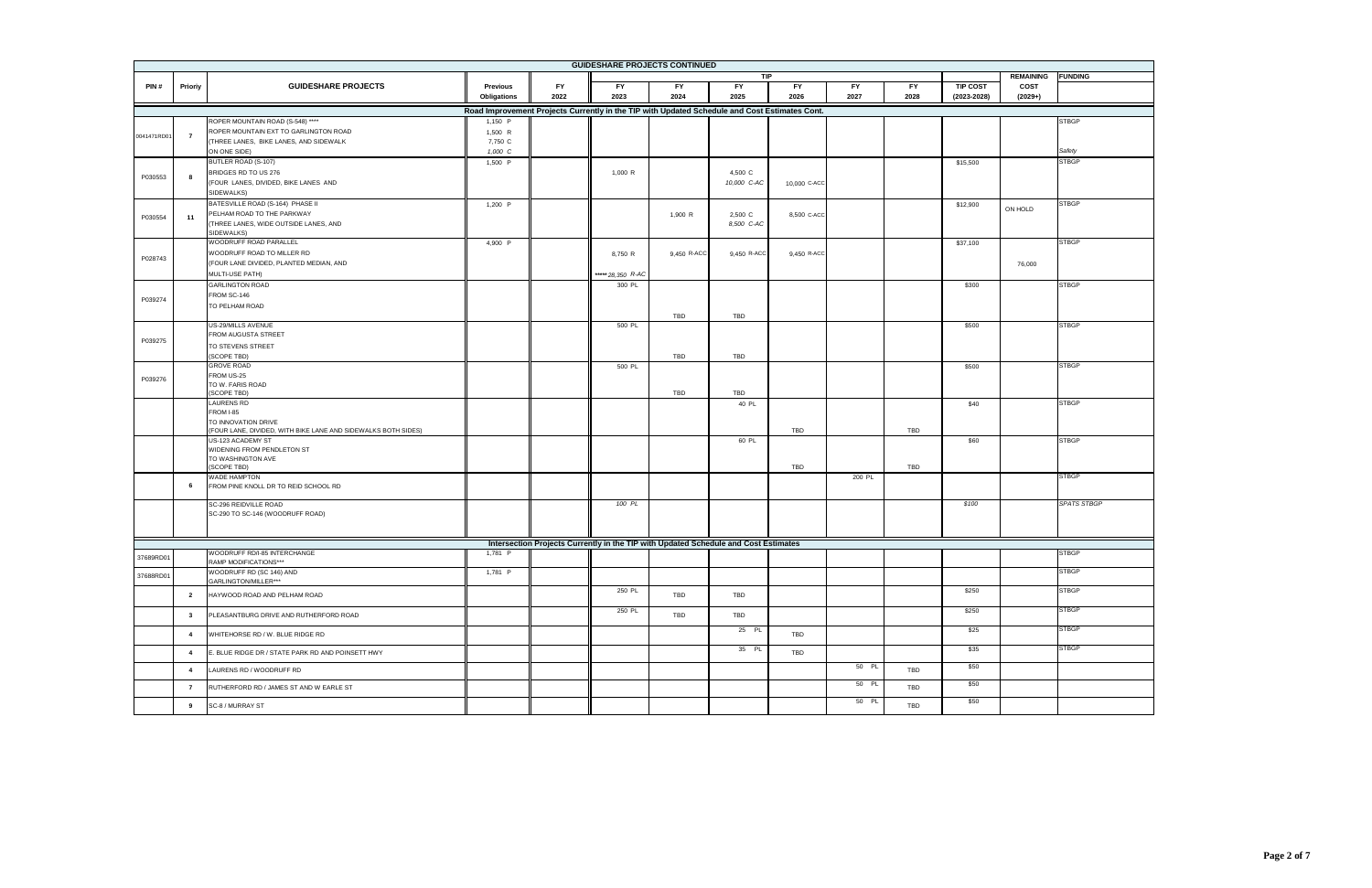| <b>GUIDESHARE PROJECTS CONTINUED</b> |                |                                                                                 |                                                                                               |           |                                                                                     |             |             |              |           |           |                 |                  |                    |
|--------------------------------------|----------------|---------------------------------------------------------------------------------|-----------------------------------------------------------------------------------------------|-----------|-------------------------------------------------------------------------------------|-------------|-------------|--------------|-----------|-----------|-----------------|------------------|--------------------|
|                                      |                |                                                                                 |                                                                                               |           |                                                                                     |             | <b>TIP</b>  |              |           |           |                 | <b>REMAINING</b> | <b>FUNDING</b>     |
| PIN#                                 | Prioriy        | <b>GUIDESHARE PROJECTS</b>                                                      | Previous                                                                                      | <b>FY</b> | <b>FY</b>                                                                           | <b>FY</b>   | <b>FY</b>   | <b>FY</b>    | <b>FY</b> | <b>FY</b> | <b>TIP COST</b> | COST             |                    |
|                                      |                |                                                                                 | Obligations                                                                                   | 2022      | 2023                                                                                | 2024        | 2025        | 2026         | 2027      | 2028      | $(2023 - 2028)$ | $(2029+)$        |                    |
|                                      |                |                                                                                 | Road Improvement Projects Currently in the TIP with Updated Schedule and Cost Estimates Cont. |           |                                                                                     |             |             |              |           |           |                 |                  |                    |
|                                      |                | ROPER MOUNTAIN ROAD (S-548) ****                                                | 1,150 P                                                                                       |           |                                                                                     |             |             |              |           |           |                 |                  | <b>STBGP</b>       |
| 0041471RD01                          | $\overline{7}$ | ROPER MOUNTAIN EXT TO GARLINGTON ROAD<br>(THREE LANES, BIKE LANES, AND SIDEWALK | 1,500 R                                                                                       |           |                                                                                     |             |             |              |           |           |                 |                  |                    |
|                                      |                | ON ONE SIDE)                                                                    | 7,750 C<br>1,000 C                                                                            |           |                                                                                     |             |             |              |           |           |                 |                  | Safety             |
|                                      |                | BUTLER ROAD (S-107)                                                             | 1,500 P                                                                                       |           |                                                                                     |             |             |              |           |           | \$15,500        |                  | <b>STBGP</b>       |
|                                      |                | BRIDGES RD TO US 276                                                            |                                                                                               |           | 1,000 R                                                                             |             | 4,500 C     |              |           |           |                 |                  |                    |
| P030553                              | 8              | (FOUR LANES, DIVIDED, BIKE LANES AND                                            |                                                                                               |           |                                                                                     |             | 10,000 C-AC | 10,000 C-ACC |           |           |                 |                  |                    |
|                                      |                | SIDEWALKS)                                                                      |                                                                                               |           |                                                                                     |             |             |              |           |           |                 |                  |                    |
|                                      |                | BATESVILLE ROAD (S-164) PHASE II                                                | 1,200 P                                                                                       |           |                                                                                     |             |             |              |           |           | \$12,900        |                  | <b>STBGP</b>       |
| P030554                              | 11             | PELHAM ROAD TO THE PARKWAY                                                      |                                                                                               |           |                                                                                     | 1,900 R     | 2,500 C     | 8,500 C-ACC  |           |           |                 | ON HOLD          |                    |
|                                      |                | (THREE LANES, WIDE OUTSIDE LANES, AND                                           |                                                                                               |           |                                                                                     |             | 8,500 C-AC  |              |           |           |                 |                  |                    |
|                                      |                | SIDEWALKS)                                                                      |                                                                                               |           |                                                                                     |             |             |              |           |           |                 |                  |                    |
|                                      |                | WOODRUFF ROAD PARALLEL<br>WOODRUFF ROAD TO MILLER RD                            | 4,900 P                                                                                       |           |                                                                                     |             |             |              |           |           | \$37,100        |                  | <b>STBGP</b>       |
| P028743                              |                | (FOUR LANE DIVIDED, PLANTED MEDIAN, AND                                         |                                                                                               |           | 8,750 R                                                                             | 9,450 R-ACC | 9,450 R-ACC | 9,450 R-ACC  |           |           |                 | 76,000           |                    |
|                                      |                | MULTI-USE PATH)                                                                 |                                                                                               |           | *****28,350 R-AC                                                                    |             |             |              |           |           |                 |                  |                    |
|                                      |                | <b>GARLINGTON ROAD</b>                                                          |                                                                                               |           | 300 PL                                                                              |             |             |              |           |           | \$300           |                  | <b>STBGP</b>       |
|                                      |                | FROM SC-146                                                                     |                                                                                               |           |                                                                                     |             |             |              |           |           |                 |                  |                    |
| P039274                              |                | TO PELHAM ROAD                                                                  |                                                                                               |           |                                                                                     |             |             |              |           |           |                 |                  |                    |
|                                      |                |                                                                                 |                                                                                               |           |                                                                                     | TBD         | <b>TBD</b>  |              |           |           |                 |                  |                    |
|                                      |                | US-29/MILLS AVENUE                                                              |                                                                                               |           | 500 PL                                                                              |             |             |              |           |           | \$500           |                  | <b>STBGP</b>       |
| P039275                              |                | FROM AUGUSTA STREET                                                             |                                                                                               |           |                                                                                     |             |             |              |           |           |                 |                  |                    |
|                                      |                | TO STEVENS STREET                                                               |                                                                                               |           |                                                                                     |             |             |              |           |           |                 |                  |                    |
|                                      |                | (SCOPE TBD)                                                                     |                                                                                               |           |                                                                                     | TBD         | <b>TBD</b>  |              |           |           |                 |                  |                    |
|                                      |                | <b>GROVE ROAD</b><br>FROM US-25                                                 |                                                                                               |           | 500 PL                                                                              |             |             |              |           |           | \$500           |                  | <b>STBGP</b>       |
| P039276                              |                | TO W. FARIS ROAD                                                                |                                                                                               |           |                                                                                     |             |             |              |           |           |                 |                  |                    |
|                                      |                | (SCOPE TBD)                                                                     |                                                                                               |           |                                                                                     | TBD         | <b>TBD</b>  |              |           |           |                 |                  |                    |
|                                      |                | <b>LAURENS RD</b>                                                               |                                                                                               |           |                                                                                     |             | 40 PL       |              |           |           | \$40            |                  | <b>STBGP</b>       |
|                                      |                | FROM I-85<br>TO INNOVATION DRIVE                                                |                                                                                               |           |                                                                                     |             |             |              |           |           |                 |                  |                    |
|                                      |                | (FOUR LANE, DIVIDED, WITH BIKE LANE AND SIDEWALKS BOTH SIDES)                   |                                                                                               |           |                                                                                     |             |             | TBD          |           | TBD       |                 |                  |                    |
|                                      |                | US-123 ACADEMY ST                                                               |                                                                                               |           |                                                                                     |             | 60 PL       |              |           |           | \$60            |                  | <b>STBGP</b>       |
|                                      |                | WIDENING FROM PENDLETON ST                                                      |                                                                                               |           |                                                                                     |             |             |              |           |           |                 |                  |                    |
|                                      |                | TO WASHINGTON AVE<br>(SCOPE TBD)                                                |                                                                                               |           |                                                                                     |             |             | TBD          |           | TBD       |                 |                  |                    |
|                                      |                | <b>WADE HAMPTON</b>                                                             |                                                                                               |           |                                                                                     |             |             |              | 200 PL    |           |                 |                  | <b>STBGP</b>       |
|                                      | 6              | FROM PINE KNOLL DR TO REID SCHOOL RD                                            |                                                                                               |           |                                                                                     |             |             |              |           |           |                 |                  |                    |
|                                      |                |                                                                                 |                                                                                               |           |                                                                                     |             |             |              |           |           |                 |                  |                    |
|                                      |                | SC-296 REIDVILLE ROAD<br>SC-290 TO SC-146 (WOODRUFF ROAD)                       |                                                                                               |           | 100 PL                                                                              |             |             |              |           |           | \$100           |                  | <b>SPATS STBGP</b> |
|                                      |                |                                                                                 |                                                                                               |           |                                                                                     |             |             |              |           |           |                 |                  |                    |
|                                      |                |                                                                                 |                                                                                               |           |                                                                                     |             |             |              |           |           |                 |                  |                    |
|                                      |                |                                                                                 |                                                                                               |           | Intersection Projects Currently in the TIP with Updated Schedule and Cost Estimates |             |             |              |           |           |                 |                  |                    |
| 37689RD01                            |                | WOODRUFF RD/I-85 INTERCHANGE                                                    | 1,781 P                                                                                       |           |                                                                                     |             |             |              |           |           |                 |                  | <b>STBGP</b>       |
|                                      |                | RAMP MODIFICATIONS***                                                           |                                                                                               |           |                                                                                     |             |             |              |           |           |                 |                  | <b>STBGP</b>       |
| 37688RD01                            |                | WOODRUFF RD (SC 146) AND<br>GARLINGTON/MILLER***                                | 1,781 P                                                                                       |           |                                                                                     |             |             |              |           |           |                 |                  |                    |
|                                      |                |                                                                                 |                                                                                               |           | 250 PL                                                                              |             |             |              |           |           | \$250           |                  | <b>STBGP</b>       |
|                                      | $\overline{2}$ | HAYWOOD ROAD AND PELHAM ROAD                                                    |                                                                                               |           |                                                                                     | TBD         | TBD         |              |           |           |                 |                  |                    |
|                                      | $\mathbf{3}$   | PLEASANTBURG DRIVE AND RUTHERFORD ROAD                                          |                                                                                               |           | 250 PL                                                                              | TBD         | TBD         |              |           |           | \$250           |                  | <b>STBGP</b>       |
|                                      |                |                                                                                 |                                                                                               |           |                                                                                     |             |             |              |           |           |                 |                  |                    |
|                                      | $\overline{4}$ | WHITEHORSE RD / W. BLUE RIDGE RD                                                |                                                                                               |           |                                                                                     |             | 25 PL       | TBD          |           |           | \$25            |                  | <b>STBGP</b>       |
|                                      |                |                                                                                 |                                                                                               |           |                                                                                     |             | 35 PL       |              |           |           | \$35            |                  | <b>STBGP</b>       |
|                                      | $\overline{4}$ | E. BLUE RIDGE DR / STATE PARK RD AND POINSETT HWY                               |                                                                                               |           |                                                                                     |             |             | TBD          |           |           |                 |                  |                    |
|                                      | $\overline{4}$ | LAURENS RD / WOODRUFF RD                                                        |                                                                                               |           |                                                                                     |             |             |              | 50 PL     | TBD       | \$50            |                  |                    |
|                                      |                |                                                                                 |                                                                                               |           |                                                                                     |             |             |              | 50 PL     |           | \$50            |                  |                    |
|                                      | $\overline{7}$ | RUTHERFORD RD / JAMES ST AND W EARLE ST                                         |                                                                                               |           |                                                                                     |             |             |              |           | TBD       |                 |                  |                    |
|                                      | 9              | SC-8 / MURRAY ST                                                                |                                                                                               |           |                                                                                     |             |             |              | 50 PL     | TBD       | \$50            |                  |                    |
|                                      |                |                                                                                 |                                                                                               |           |                                                                                     |             |             |              |           |           |                 |                  |                    |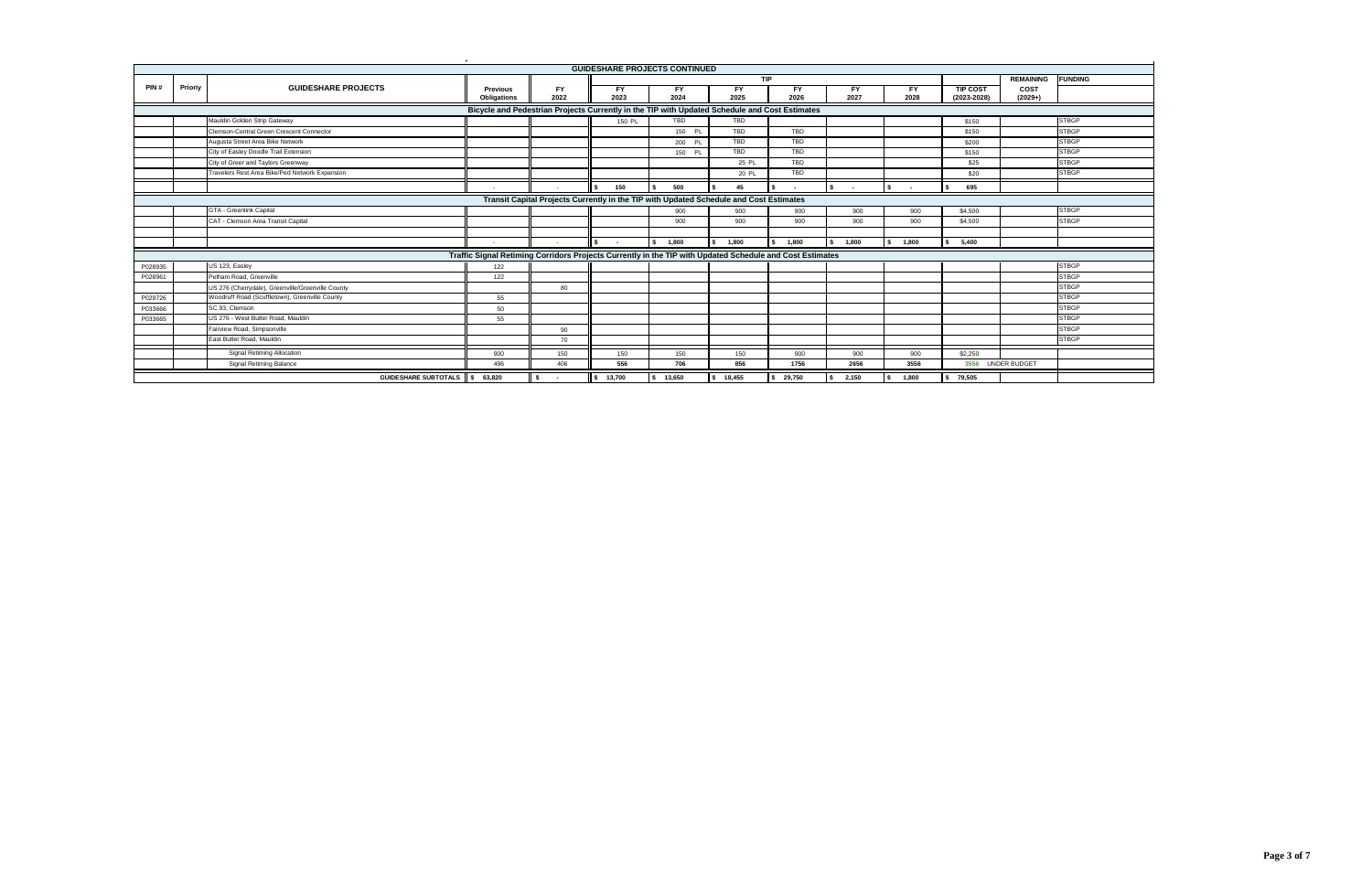|         |         |                                                   |                                                                                                          |           |              | <b>GUIDESHARE PROJECTS CONTINUED</b>                                                   |            |            |             |             |                 |                     |                |
|---------|---------|---------------------------------------------------|----------------------------------------------------------------------------------------------------------|-----------|--------------|----------------------------------------------------------------------------------------|------------|------------|-------------|-------------|-----------------|---------------------|----------------|
|         |         |                                                   |                                                                                                          |           |              |                                                                                        | <b>TIP</b> |            |             |             |                 | <b>REMAINING</b>    | <b>FUNDING</b> |
| PIN#    | Prioriy | <b>GUIDESHARE PROJECTS</b>                        | <b>Previous</b>                                                                                          | <b>FY</b> | <b>FY</b>    | <b>FY</b>                                                                              | <b>FY</b>  | <b>FY</b>  | <b>FY</b>   | <b>FY</b>   | <b>TIP COST</b> | COST                |                |
|         |         |                                                   | <b>Obligations</b>                                                                                       | 2022      | 2023         | 2024                                                                                   | 2025       | 2026       | 2027        | 2028        | $(2023 - 2028)$ | $(2029+)$           |                |
|         |         |                                                   | Bicycle and Pedestrian Projects Currently in the TIP with Updated Schedule and Cost Estimates            |           |              |                                                                                        |            |            |             |             |                 |                     |                |
|         |         | Mauldin Golden Strip Gateway                      |                                                                                                          |           | 150 PL       | <b>TBD</b>                                                                             | <b>TBD</b> |            |             |             | \$150           |                     | <b>STBGP</b>   |
|         |         | Clemson-Central Green Crescent Connector          |                                                                                                          |           |              | 150 PL                                                                                 | <b>TBD</b> | <b>TBD</b> |             |             | \$150           |                     | <b>STBGP</b>   |
|         |         | Augusta Street Area Bike Network                  |                                                                                                          |           |              | 200 PL                                                                                 | <b>TBD</b> | TBD        |             |             | \$200           |                     | <b>STBGP</b>   |
|         |         | City of Easley Doodle Trail Extension             |                                                                                                          |           |              | 150 PL                                                                                 | <b>TBD</b> | TBD        |             |             | \$150           |                     | <b>STBGP</b>   |
|         |         | City of Greer and Taylors Greenway                |                                                                                                          |           |              |                                                                                        | 25 PL      | TBD        |             |             | \$25            |                     | <b>STBGP</b>   |
|         |         | Travelers Rest Area Bike/Ped Network Expansion    |                                                                                                          |           |              |                                                                                        | 20 PL      | <b>TBD</b> |             |             | \$20            |                     | <b>STBGP</b>   |
|         |         |                                                   |                                                                                                          |           | 150          | 500                                                                                    | 45         |            |             |             | 695             |                     |                |
|         |         |                                                   |                                                                                                          |           |              | Transit Capital Projects Currently in the TIP with Updated Schedule and Cost Estimates |            |            |             |             |                 |                     |                |
|         |         | GTA - Greenlink Capital                           |                                                                                                          |           |              | 900                                                                                    | 900        | 900        | 900         | 900         | \$4,500         |                     | <b>STBGP</b>   |
|         |         | CAT - Clemson Area Transit Capital                |                                                                                                          |           |              | 900                                                                                    | 900        | 900        | 900         | 900         | \$4,500         |                     | <b>STBGP</b>   |
|         |         |                                                   |                                                                                                          |           |              |                                                                                        |            |            |             |             |                 |                     |                |
|         |         |                                                   |                                                                                                          |           | \$<br>$\sim$ | 1,800<br>s.                                                                            | 1,800      | 1,800      | 1,800<br>\$ | 1,800<br>\$ | 5,400           |                     |                |
|         |         |                                                   | Traffic Signal Retiming Corridors Projects Currently in the TIP with Updated Schedule and Cost Estimates |           |              |                                                                                        |            |            |             |             |                 |                     |                |
| P028935 |         | US 123, Easley                                    | 122                                                                                                      |           |              |                                                                                        |            |            |             |             |                 |                     | <b>STBGP</b>   |
| P028961 |         | Pelham Road, Greenville                           | 122                                                                                                      |           |              |                                                                                        |            |            |             |             |                 |                     | <b>STBGP</b>   |
|         |         | US 276 (Cherrydale), Greenville/Greenville County |                                                                                                          | 80        |              |                                                                                        |            |            |             |             |                 |                     | <b>STBGP</b>   |
| P029726 |         | Woodruff Road (Scuffletown), Greenville County    | 55                                                                                                       |           |              |                                                                                        |            |            |             |             |                 |                     | <b>STBGP</b>   |
| P033666 |         | SC 93, Clemson                                    | 50                                                                                                       |           |              |                                                                                        |            |            |             |             |                 |                     | <b>STBGP</b>   |
| P033665 |         | US 276 - West Butler Road, Mauldin                | 55                                                                                                       |           |              |                                                                                        |            |            |             |             |                 |                     | <b>STBGP</b>   |
|         |         | Fairview Road, Simpsonville                       |                                                                                                          | 90        |              |                                                                                        |            |            |             |             |                 |                     | <b>STBGP</b>   |
|         |         | East Butler Road, Mauldin                         |                                                                                                          | 70        |              |                                                                                        |            |            |             |             |                 |                     | <b>STBGP</b>   |
|         |         | Signal Retiming Allocation                        | 900                                                                                                      | 150       | 150          | 150                                                                                    | 150        | 900        | 900         | 900         | \$2,250         |                     |                |
|         |         | <b>Signal Retiming Balance</b>                    | 496                                                                                                      | 406       | 556          | 706                                                                                    | 856        | 1756       | 2656        | 3556        | 3556            | <b>UNDER BUDGET</b> |                |
|         |         | GUIDESHARE SUBTOTALS \$                           | 63,820                                                                                                   | - \$      | 13,700       | 13,650                                                                                 | 18,455     | 29,750     | 2,150       | 1.800       | \$79,505        |                     |                |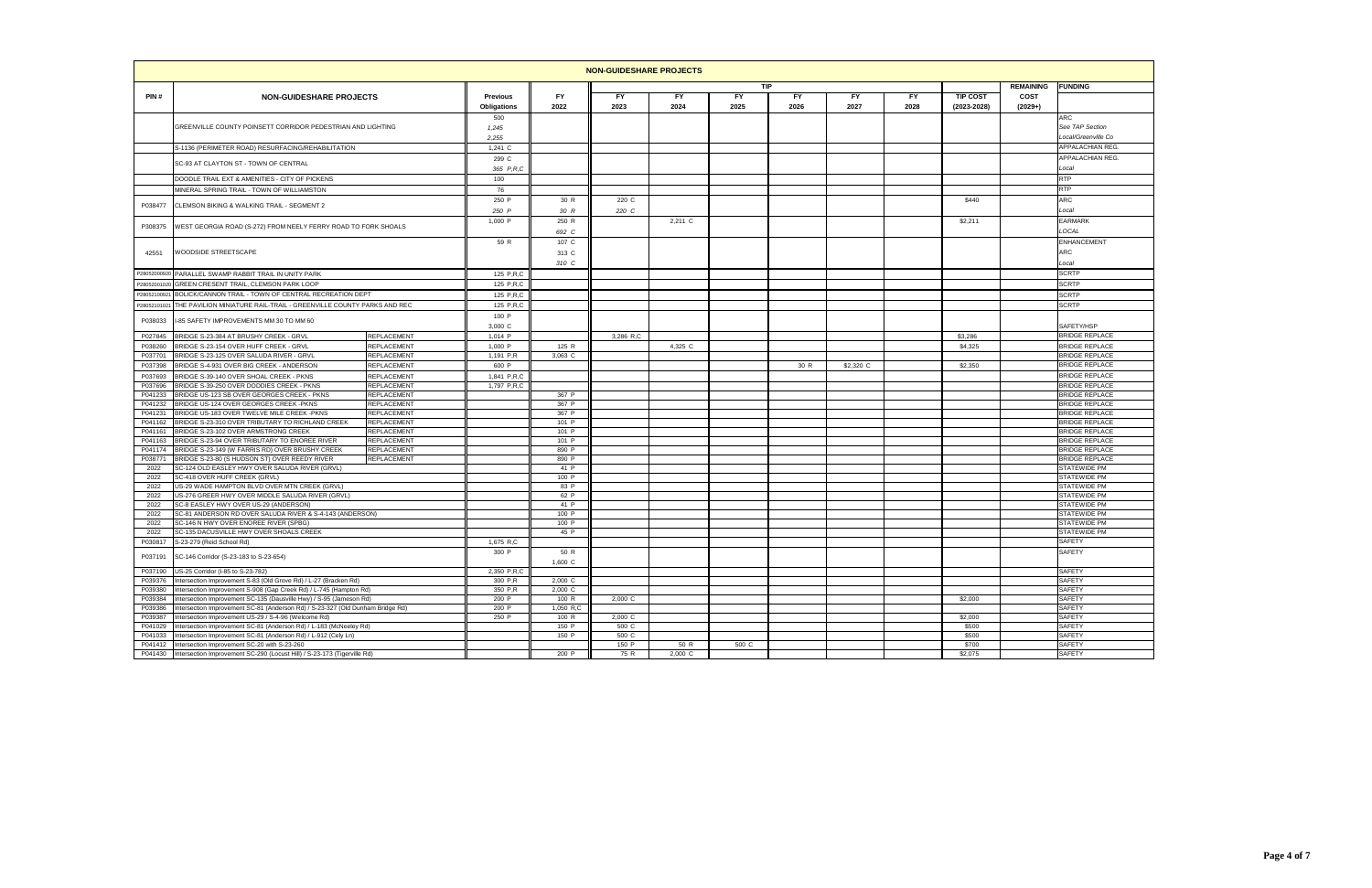|                    |                                                                                                                            |                            |                 |                | <b>NON-GUIDESHARE PROJECTS</b> |         |            |      |           |           |                  |                  |                                                |
|--------------------|----------------------------------------------------------------------------------------------------------------------------|----------------------------|-----------------|----------------|--------------------------------|---------|------------|------|-----------|-----------|------------------|------------------|------------------------------------------------|
|                    |                                                                                                                            |                            |                 |                |                                |         | <b>TIP</b> |      |           |           |                  | <b>REMAINING</b> | <b>FUNDING</b>                                 |
| PIN#               | <b>NON-GUIDESHARE PROJECTS</b>                                                                                             |                            | <b>Previous</b> | <b>FY</b>      | FY                             | FY      | FY.        | FY.  | FY.       | <b>FY</b> | <b>TIP COST</b>  | COST             |                                                |
|                    |                                                                                                                            |                            | Obligations     | 2022           | 2023                           | 2024    | 2025       | 2026 | 2027      | 2028      | $(2023 - 2028)$  | $(2029+)$        |                                                |
|                    | GREENVILLE COUNTY POINSETT CORRIDOR PEDESTRIAN AND LIGHTING                                                                |                            | 500             |                |                                |         |            |      |           |           |                  |                  | ARC<br>See TAP Section                         |
|                    |                                                                                                                            |                            | 1,245<br>2,255  |                |                                |         |            |      |           |           |                  |                  | Local/Greenville Co                            |
|                    | S-1136 (PERIMETER ROAD) RESURFACING/REHABILITATION                                                                         |                            | $1,241$ C       |                |                                |         |            |      |           |           |                  |                  | APPALACHIAN REG                                |
|                    |                                                                                                                            |                            | 299 C           |                |                                |         |            |      |           |           |                  |                  | APPALACHIAN REG.                               |
|                    | SC-93 AT CLAYTON ST - TOWN OF CENTRAL                                                                                      |                            | 365 P.R.C       |                |                                |         |            |      |           |           |                  |                  | Local                                          |
|                    | DOODLE TRAIL EXT & AMENITIES - CITY OF PICKENS                                                                             |                            | 100             |                |                                |         |            |      |           |           |                  |                  | RTP                                            |
|                    | MINERAL SPRING TRAIL - TOWN OF WILLIAMSTON                                                                                 |                            | 76              |                |                                |         |            |      |           |           |                  |                  | RTP                                            |
|                    |                                                                                                                            |                            | 250 P           | 30 R           | 220 C                          |         |            |      |           |           | \$440            |                  | ARC                                            |
| P038477            | CLEMSON BIKING & WALKING TRAIL - SEGMENT 2                                                                                 |                            | 250 P           | 30 R           | 220 C                          |         |            |      |           |           |                  |                  | Local                                          |
|                    |                                                                                                                            |                            | 1,000 P         | 250 R          |                                | 2,211 C |            |      |           |           | \$2,211          |                  | EARMARK                                        |
| P308375            | WEST GEORGIA ROAD (S-272) FROM NEELY FERRY ROAD TO FORK SHOALS                                                             |                            |                 | 692 C          |                                |         |            |      |           |           |                  |                  | LOCAL                                          |
|                    |                                                                                                                            |                            | 59 R            | 107 C          |                                |         |            |      |           |           |                  |                  | <b>ENHANCEMENT</b>                             |
| 42551              | <b>NOODSIDE STREETSCAPE</b>                                                                                                |                            |                 | 313 C          |                                |         |            |      |           |           |                  |                  | ARC                                            |
|                    |                                                                                                                            |                            |                 | 310 C          |                                |         |            |      |           |           |                  |                  | Local                                          |
| P28052000920       | PARALLEL SWAMP RABBIT TRAIL IN UNITY PARK                                                                                  |                            | 125 P,R,C       |                |                                |         |            |      |           |           |                  |                  | <b>SCRTP</b>                                   |
| P280520010         | GREEN CRESENT TRAIL, CLEMSON PARK LOOP                                                                                     |                            | 125 P.R.C       |                |                                |         |            |      |           |           |                  |                  | <b>SCRTP</b>                                   |
| 2805210092         | BOLICK/CANNON TRAIL - TOWN OF CENTRAL RECREATION DEPT                                                                      |                            | 125 P.R.C       |                |                                |         |            |      |           |           |                  |                  | <b>SCRTP</b>                                   |
| 2805210102         | THE PAVILION MINIATURE RAIL-TRAIL - GREENVILLE COUNTY PARKS AND REC                                                        |                            | 125 P.R.C       |                |                                |         |            |      |           |           |                  |                  | <b>SCRTP</b>                                   |
| P038033            | -85 SAFETY IMPROVEMENTS MM 30 TO MM 60                                                                                     |                            | 100 P           |                |                                |         |            |      |           |           |                  |                  |                                                |
|                    |                                                                                                                            |                            | 3,000 C         |                |                                |         |            |      |           |           |                  |                  | SAFETY/HSP                                     |
| P027845            | BRIDGE S-23-384 AT BRUSHY CREEK - GRVL                                                                                     | REPLACEMENT                | 1,014 P         |                | 3,286 R.C                      |         |            |      |           |           | \$3,286          |                  | <b>BRIDGE REPLACE</b>                          |
| P038260            | BRIDGE S-23-154 OVER HUFF CREEK - GRVL                                                                                     | REPLACEMENT                | 1,000 P         | 125 R          |                                | 4,325 C |            |      |           |           | \$4,325          |                  | <b>BRIDGE REPLACE</b>                          |
| P037701            | BRIDGE S-23-125 OVER SALUDA RIVER - GRVL                                                                                   | REPLACEMENT                | 1.191 P.R       | 3,063 C        |                                |         |            |      |           |           |                  |                  | <b>BRIDGE REPLACE</b>                          |
| P037398            | BRIDGE S-4-931 OVER BIG CREEK - ANDERSON                                                                                   | REPLACEMENT                | 600 P           |                |                                |         |            | 30 R | \$2,320 C |           | \$2,350          |                  | <b>BRIDGE REPLACE</b>                          |
| P037693            | BRIDGE S-39-140 OVER SHOAL CREEK - PKNS                                                                                    | REPLACEMENT                | 1,841 P,R,C     |                |                                |         |            |      |           |           |                  |                  | <b>BRIDGE REPLACE</b>                          |
| P037696            | BRIDGE S-39-250 OVER DODDIES CREEK - PKNS                                                                                  | REPLACEMENT                | 1,797 P.R.C     |                |                                |         |            |      |           |           |                  |                  | <b>BRIDGE REPLACE</b><br><b>BRIDGE REPLACE</b> |
| P041233<br>P041232 | BRIDGE US-123 SB OVER GEORGES CREEK - PKNS<br>BRIDGE US-124 OVER GEORGES CREEK -PKNS                                       | REPLACEMENT<br>REPLACEMENT |                 | 367 P<br>367 P |                                |         |            |      |           |           |                  |                  | <b>BRIDGE REPLACE</b>                          |
| P041231            | BRIDGE US-183 OVER TWELVE MILE CREEK -PKNS                                                                                 | REPLACEMENT                |                 | 367 P          |                                |         |            |      |           |           |                  |                  | BRIDGE REPLACE                                 |
| P041162            | BRIDGE S-23-310 OVER TRIBUTARY TO RICHLAND CREEK                                                                           | REPLACEMENT                |                 | 101 P          |                                |         |            |      |           |           |                  |                  | <b>BRIDGE REPLACE</b>                          |
| P041161            | BRIDGE S-23-102 OVER ARMSTRONG CREEK                                                                                       | REPLACEMENT                |                 | 101 P          |                                |         |            |      |           |           |                  |                  | <b>BRIDGE REPLACE</b>                          |
| P041163            | BRIDGE S-23-94 OVER TRIBUTARY TO ENOREE RIVER                                                                              | REPLACEMENT                |                 | 101 P          |                                |         |            |      |           |           |                  |                  | <b>BRIDGE REPLACE</b>                          |
| P041174            | BRIDGE S-23-149 (W FARRIS RD) OVER BRUSHY CREEK                                                                            | REPLACEMENT                |                 | 890 P          |                                |         |            |      |           |           |                  |                  | <b>BRIDGE REPLACE</b>                          |
| P038771<br>2022    | BRIDGE S-23-80 (S HUDSON ST) OVER REEDY RIVER<br>SC-124 OLD EASLEY HWY OVER SALUDA RIVER (GRVL)                            | REPLACEMENT                |                 | 890 P<br>41 P  |                                |         |            |      |           |           |                  |                  | <b>BRIDGE REPLACE</b><br>STATEWIDE PM          |
| 2022               | SC-418 OVER HUFF CREEK (GRVL)                                                                                              |                            |                 | 100 P          |                                |         |            |      |           |           |                  |                  | STATEWIDE PM                                   |
| 2022               | US-29 WADE HAMPTON BLVD OVER MTN CREEK (GRVL)                                                                              |                            |                 | 83 P           |                                |         |            |      |           |           |                  |                  | STATEWIDE PM                                   |
| 2022               | US-276 GREER HWY OVER MIDDLE SALUDA RIVER (GRVL)                                                                           |                            |                 | 62 P           |                                |         |            |      |           |           |                  |                  | STATEWIDE PM                                   |
| 2022               | SC-8 EASLEY HWY OVER US-29 (ANDERSON)                                                                                      |                            |                 | 41 P           |                                |         |            |      |           |           |                  |                  | STATEWIDE PM                                   |
| 2022               | SC-81 ANDERSON RD OVER SALUDA RIVER & S-4-143 (ANDERSON)                                                                   |                            |                 | 100 P          |                                |         |            |      |           |           |                  |                  | STATEWIDE PM                                   |
| 2022               | SC-146 N HWY OVER ENOREE RIVER (SPBG)<br>SC-135 DACUSVILLE HWY OVER SHOALS CREEK                                           |                            |                 | 100 P<br>45 P  |                                |         |            |      |           |           |                  |                  | STATEWIDE PM<br>STATEWIDE PM                   |
| 2022<br>P030817    | S-23-279 (Reid School Rd)                                                                                                  |                            | 1,675 R,C       |                |                                |         |            |      |           |           |                  |                  | SAFETY                                         |
|                    |                                                                                                                            |                            | 300 P           | 50 R           |                                |         |            |      |           |           |                  |                  | SAFETY                                         |
| P037191            | SC-146 Corridor (S-23-183 to S-23-654)                                                                                     |                            |                 | 1.600 C        |                                |         |            |      |           |           |                  |                  |                                                |
|                    | P037190 US-25 Corridor (I-85 to S-23-782)                                                                                  |                            | 2,350 P,R,C     |                |                                |         |            |      |           |           |                  |                  | SAFETY                                         |
| P039376            | Intersection Improvement S-83 (Old Grove Rd) / L-27 (Bracken Rd)                                                           |                            | 300 P.R         | 2,000 C        |                                |         |            |      |           |           |                  |                  | SAFETY                                         |
| P039380            | Intersection Improvement S-908 (Gap Creek Rd) / L-745 (Hampton Rd)                                                         |                            | 350 P,R         | 2,000 C        |                                |         |            |      |           |           |                  |                  | SAFETY                                         |
| P039384            | Intersection Improvement SC-135 (Dausville Hwy) / S-95 (Jameson Rd)                                                        |                            | 200 P           | 100 R          | 2,000 C                        |         |            |      |           |           | \$2,000          |                  | SAFETY                                         |
| P039386            | Intersection Improvement SC-81 (Anderson Rd) / S-23-327 (Old Dunham Bridge Rd)                                             |                            | 200 P           | 1,050 R,C      |                                |         |            |      |           |           |                  |                  | SAFETY                                         |
| P039387<br>P041029 | Intersection Improvement US-29 / S-4-96 (Welcome Rd)<br>Intersection Improvement SC-81 (Anderson Rd) / L-183 (McNeeley Rd) |                            | 250 P           | 100 R<br>150 P | 2,000 C<br>500 C               |         |            |      |           |           | \$2,000<br>\$500 |                  | SAFETY<br>SAFETY                               |
| P041033            | Intersection Improvement SC-81 (Anderson Rd) / L-912 (Cely Ln)                                                             |                            |                 | 150 P          | 500 C                          |         |            |      |           |           | \$500            |                  | SAFETY                                         |
| P041412            | Intersection Improvement SC-20 with S-23-260                                                                               |                            |                 |                | 150 P                          | 50 R    | 500 C      |      |           |           | \$700            |                  | SAFETY                                         |
| P041430            | Intersection Improvement SC-290 (Locust Hill) / S-23-173 (Tigerville Rd)                                                   |                            |                 | 200 P          | 75 R                           | 2,000 C |            |      |           |           | \$2,075          |                  | SAFETY                                         |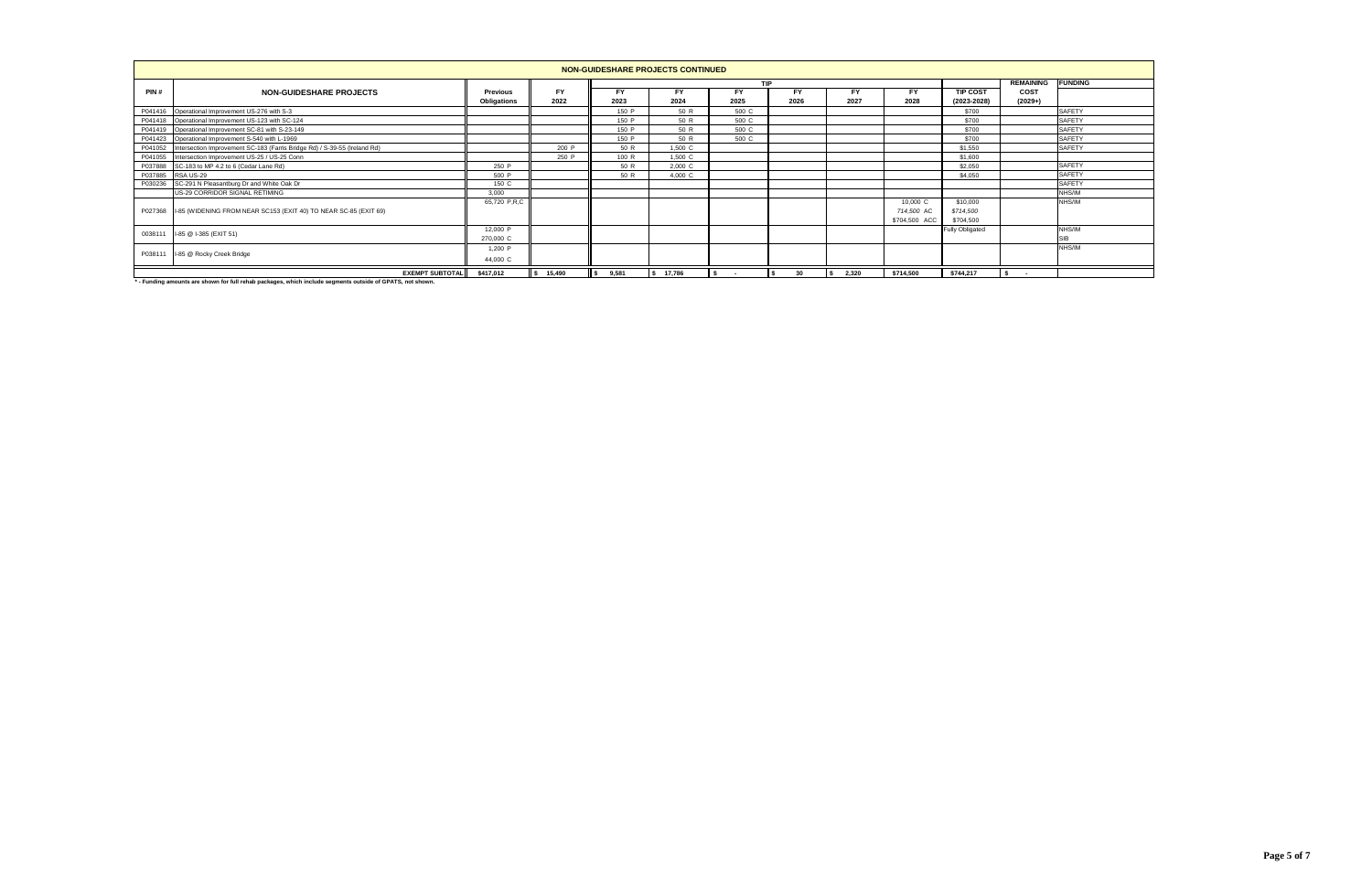|         | NON-GUIDESHARE PROJECTS CONTINUED                                                 |                 |           |       |           |       |                  |                |               |                        |           |               |  |  |
|---------|-----------------------------------------------------------------------------------|-----------------|-----------|-------|-----------|-------|------------------|----------------|---------------|------------------------|-----------|---------------|--|--|
|         |                                                                                   |                 |           |       |           |       | <b>REMAINING</b> | <b>FUNDING</b> |               |                        |           |               |  |  |
| PIN#    | <b>NON-GUIDESHARE PROJECTS</b>                                                    | <b>Previous</b> | <b>FY</b> | FY    | FY        | FY    |                  |                | FY            | <b>TIP COST</b>        | COST      |               |  |  |
|         |                                                                                   | Obligations     | 2022      | 2023  | 2024      | 2025  | 2026             | 2027           | 2028          | $(2023 - 2028)$        | $(2029+)$ |               |  |  |
|         | P041416 Operational Improvement US-276 with S-3                                   |                 |           | 150 P | 50 R      | 500 C |                  |                |               | \$700                  |           | <b>SAFETY</b> |  |  |
|         | P041418 Operational Improvement US-123 with SC-124                                |                 |           | 150 P | 50 R      | 500 C |                  |                |               | \$700                  |           | <b>SAFETY</b> |  |  |
|         | P041419 Operational Improvement SC-81 with S-23-149                               |                 |           | 150 P | 50 R      | 500 C |                  |                |               | \$700                  |           | <b>SAFETY</b> |  |  |
|         | P041423 Operational Improvement S-540 with L-1969                                 |                 |           | 150 P | 50 R      | 500 C |                  |                |               | \$700                  |           | <b>SAFETY</b> |  |  |
|         | P041052 Intersection Improvement SC-183 (Farris Bridge Rd) / S-39-55 (Ireland Rd) |                 | 200 P     | 50 R  | 1,500 C   |       |                  |                |               | \$1,550                |           | <b>SAFETY</b> |  |  |
|         | P041055 Intersection Improvement US-25 / US-25 Conn                               |                 | 250 P     | 100 R | 1,500 C   |       |                  |                |               | \$1,600                |           |               |  |  |
|         | P037888 SC-183 to MP 4.2 to 6 (Cedar Lane Rd)                                     | 250 P           |           | 50 R  | 2,000 C   |       |                  |                |               | \$2,050                |           | <b>SAFETY</b> |  |  |
| P037885 | RSA US-29                                                                         | 500 P           |           | 50 R  | 4,000 C   |       |                  |                |               | \$4,050                |           | <b>SAFETY</b> |  |  |
|         | P030236 SC-291 N Pleasantburg Dr and White Oak Dr                                 | 150 C           |           |       |           |       |                  |                |               |                        |           | <b>SAFETY</b> |  |  |
|         | US-29 CORRIDOR SIGNAL RETIMING                                                    | 3.000           |           |       |           |       |                  |                |               |                        |           | NHS/IM        |  |  |
|         |                                                                                   | 65,720 P.R.C    |           |       |           |       |                  |                | 10,000 C      | \$10,000               |           | NHS/IM        |  |  |
|         | P027368 I-85 (WIDENING FROM NEAR SC153 (EXIT 40) TO NEAR SC-85 (EXIT 69)          |                 |           |       |           |       |                  |                | 714,500 AC    | \$714,500              |           |               |  |  |
|         |                                                                                   |                 |           |       |           |       |                  |                | \$704,500 ACC | \$704,500              |           |               |  |  |
| 0038111 |                                                                                   | 12,000 P        |           |       |           |       |                  |                |               | <b>Fully Obligated</b> |           | NHS/IN        |  |  |
|         | I-85 @ I-385 (EXIT 51)                                                            | 270,000 C       |           |       |           |       |                  |                |               |                        |           | <b>SIB</b>    |  |  |
|         |                                                                                   | 1,200 P         |           |       |           |       |                  |                |               |                        |           | NHS/IM        |  |  |
| P038111 | I-85 @ Rocky Creek Bridge                                                         | 44,000 C        |           |       |           |       |                  |                |               |                        |           |               |  |  |
|         | <b>EXEMPT SUBTOTAL</b>                                                            | \$417,012       | \$ 15,490 | 9,581 | \$ 17,786 |       | 30               | 2,320<br>IS.   | \$714,500     | \$744,217              |           |               |  |  |

**\* - Funding amounts are shown for full rehab packages, which include segments outside of GPATS, not shown.**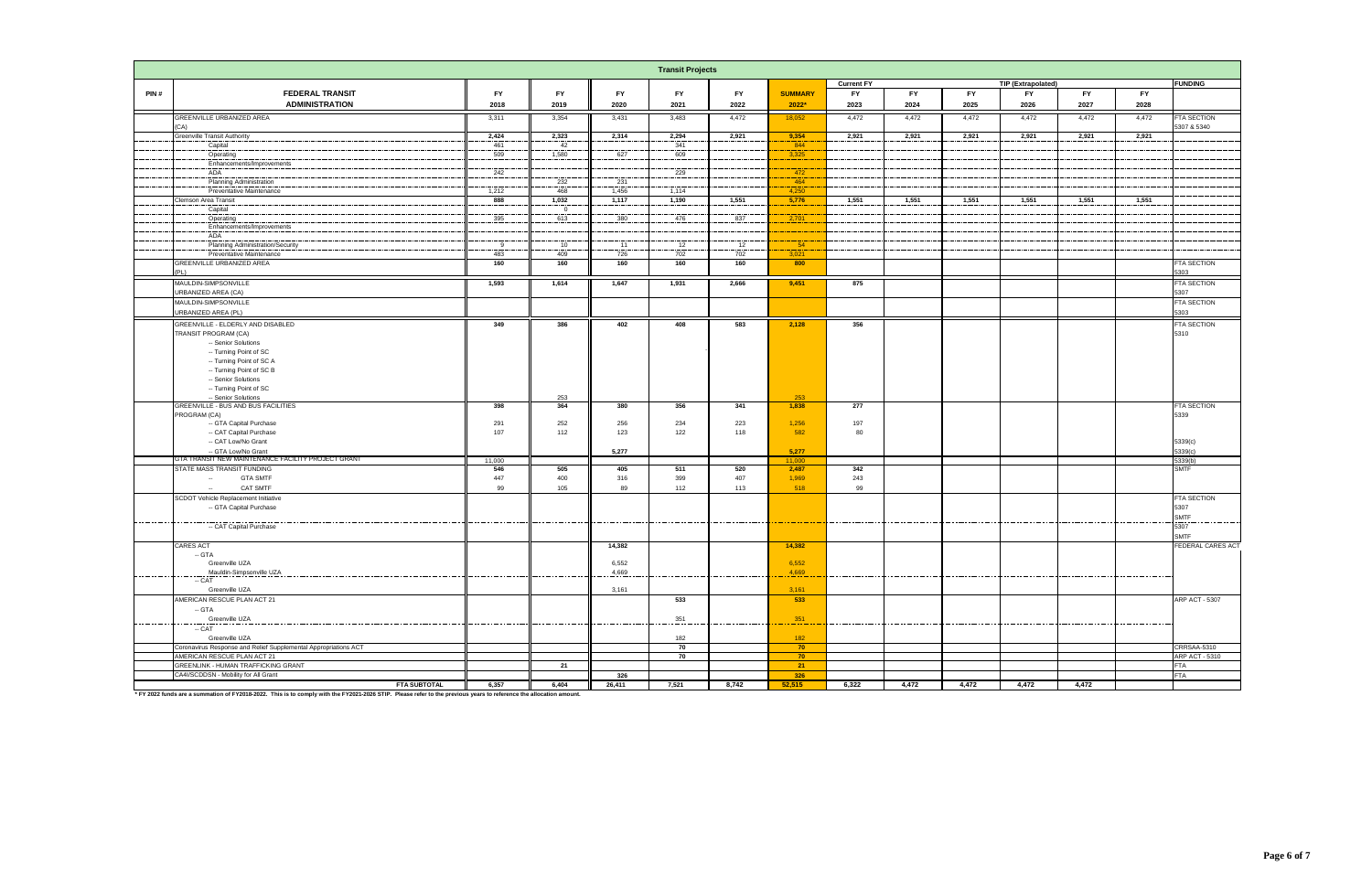|           |                                                                                                                                                                    |                |                 |                   | <b>Transit Projects</b> |            |                 |                   |               |              |                           |           |           |                               |
|-----------|--------------------------------------------------------------------------------------------------------------------------------------------------------------------|----------------|-----------------|-------------------|-------------------------|------------|-----------------|-------------------|---------------|--------------|---------------------------|-----------|-----------|-------------------------------|
|           |                                                                                                                                                                    |                |                 |                   |                         |            |                 | <b>Current FY</b> |               |              | <b>TIP (Extrapolated)</b> |           |           | <b>FUNDING</b>                |
| PIN#      | <b>FEDERAL TRANSIT</b>                                                                                                                                             | <b>FY</b>      | <b>FY</b>       | <b>FY</b>         | <b>FY</b>               | <b>FY</b>  | <b>SUMMARY</b>  | <b>FY</b>         | <b>FY</b>     | <b>FY</b>    | <b>FY</b>                 | <b>FY</b> | <b>FY</b> |                               |
|           | <b>ADMINISTRATION</b>                                                                                                                                              | 2018           | 2019            | 2020              | 2021                    | 2022       | 2022*           | 2023              | 2024          | 2025         | 2026                      | 2027      | 2028      |                               |
|           | GREENVILLE URBANIZED AREA                                                                                                                                          | 3,311          | 3,354           | 3,431             | 3,483                   | 4,472      | 18,052          | 4,472             | 4,472         | 4,472        | 4,472                     | 4,472     | 4,472     | <b>FTA SECTION</b>            |
|           | CA)                                                                                                                                                                |                |                 |                   |                         |            |                 |                   |               |              |                           |           |           | 5307 & 5340                   |
|           | Greenville Transit Authority                                                                                                                                       | 2,424          | 2,323           | 2,314             | 2,294                   | 2,921      | 9,354           | 2,921             | 2,921         | 2,921        | 2,921                     | 2,921     | 2,921     |                               |
|           | Capital                                                                                                                                                            | 461            | 42<br>1,580     | 627               | 341                     |            | 844             |                   |               |              |                           |           |           |                               |
|           | Operating<br>Enhancements/Improvements                                                                                                                             | 509            |                 |                   | 609                     |            | 3,325           |                   |               |              |                           |           |           |                               |
|           | ADA                                                                                                                                                                | 242            |                 |                   | 229                     |            | 472             |                   |               |              |                           |           |           |                               |
|           | <b>Planning Administration</b>                                                                                                                                     |                | 232             | 231               |                         |            | 464             |                   |               |              |                           |           |           |                               |
|           | Preventative Maintenance                                                                                                                                           | 1,212          | 468             | 1,456             | 1,114                   |            | 4,250           |                   |               |              |                           |           |           |                               |
|           | Clemson Area Transit                                                                                                                                               | 888            | 1,032           | 1,117             | 1,190                   | 1,551      | 5,776           | 1,551             | 1,551         | 1,551        | 1,551                     | 1,551     | 1,551     |                               |
|           | Capital                                                                                                                                                            |                | $\overline{0}$  |                   |                         |            |                 |                   |               |              |                           |           |           |                               |
|           | Operating                                                                                                                                                          | 395            | 613             | 380               | 476                     | 837        | 2,701           |                   |               |              |                           |           |           |                               |
|           | Enhancements/Improvements<br>ADA                                                                                                                                   |                |                 |                   |                         |            |                 |                   |               |              |                           |           |           |                               |
|           | Planning Administration/Security                                                                                                                                   | - 9            | 10 <sup>1</sup> | 11                | 12                      | 12         | 54              |                   |               |              |                           |           |           |                               |
|           | Preventative Maintenance                                                                                                                                           | 483            | 409             | 726               | 702                     | 702        | 3,021           |                   |               |              |                           |           |           |                               |
|           | GREENVILLE URBANIZED AREA                                                                                                                                          | 160            | 160             | 160               | 160                     | 160        | 800             |                   |               |              |                           |           |           | FTA SECTION                   |
|           | PI 1                                                                                                                                                               |                |                 |                   |                         |            |                 |                   |               |              |                           |           |           | 303                           |
|           | MAULDIN-SIMPSONVILLE                                                                                                                                               | 1,593          | 1,614           | 1,647             | 1,931                   | 2,666      | 9,451           | 875               |               |              |                           |           |           | <b>FTA SECTION</b>            |
|           | JRBANIZED AREA (CA)                                                                                                                                                |                |                 |                   |                         |            |                 |                   |               |              |                           |           |           | 5307                          |
|           | MAULDIN-SIMPSONVILLE                                                                                                                                               |                |                 |                   |                         |            |                 |                   |               |              |                           |           |           | FTA SECTION                   |
|           | <b>JRBANIZED AREA (PL)</b>                                                                                                                                         |                |                 |                   |                         |            |                 |                   |               |              |                           |           |           | 303                           |
|           | GREENVILLE - ELDERLY AND DISABLED                                                                                                                                  | 349            | 386             | 402               | 408                     | 583        | 2,128           | 356               |               |              |                           |           |           | FTA SECTION                   |
|           | TRANSIT PROGRAM (CA)                                                                                                                                               |                |                 |                   |                         |            |                 |                   |               |              |                           |           |           | 5310                          |
|           | -- Senior Solutions                                                                                                                                                |                |                 |                   |                         |            |                 |                   |               |              |                           |           |           |                               |
|           | -- Turning Point of SC                                                                                                                                             |                |                 |                   |                         |            |                 |                   |               |              |                           |           |           |                               |
|           | -- Turning Point of SC A                                                                                                                                           |                |                 |                   |                         |            |                 |                   |               |              |                           |           |           |                               |
|           | -- Turning Point of SC B<br>-- Senior Solutions                                                                                                                    |                |                 |                   |                         |            |                 |                   |               |              |                           |           |           |                               |
|           | -- Turning Point of SC                                                                                                                                             |                |                 |                   |                         |            |                 |                   |               |              |                           |           |           |                               |
|           | -- Senior Solutions                                                                                                                                                |                | 253             |                   |                         |            | 253             |                   |               |              |                           |           |           |                               |
|           | <b>GREENVILLE - BUS AND BUS FACILITIES</b>                                                                                                                         | 398            | 364             | 380               | 356                     | 341        | 1,838           | 277               |               |              |                           |           |           | <b>FTA SECTION</b>            |
|           | PROGRAM (CA)                                                                                                                                                       |                |                 |                   |                         |            |                 |                   |               |              |                           |           |           | 5339                          |
|           | -- GTA Capital Purchase                                                                                                                                            | 291            | 252             | 256               | 234                     | 223        | 1,256           | 197               |               |              |                           |           |           |                               |
|           | -- CAT Capital Purchase                                                                                                                                            | 107            | 112             | 123               | 122                     | 118        | 582             | 80                |               |              |                           |           |           |                               |
|           | -- CAT Low/No Grant                                                                                                                                                |                |                 |                   |                         |            |                 |                   |               |              |                           |           |           | 5339(c)                       |
|           | -- GTA Low/No Grant<br>GTA TRANSIT NEW MAINTENANCE FACILITY PROJECT GRANT                                                                                          | 11,000         |                 | 5,277             |                         |            | 5,277<br>11,000 |                   |               |              |                           |           |           | 5339(c)<br>5339(b)            |
|           | STATE MASS TRANSIT FUNDING                                                                                                                                         | 546            | 505             | 405               | 511                     | 520        | 2,487           | 342               |               |              |                           |           |           | <b>SMTF</b>                   |
|           | <b>GTA SMTF</b><br>$\overline{\phantom{a}}$                                                                                                                        | 447            | 400             | 316               | 399                     | 407        | 1,969           | 243               |               |              |                           |           |           |                               |
|           | CAT SMTF<br>$\sim$                                                                                                                                                 | 99             | 105             | 89                | 112                     | 113        | 518             | 99                |               |              |                           |           |           |                               |
|           | SCDOT Vehicle Replacement Initiative                                                                                                                               |                |                 |                   |                         |            |                 |                   |               |              |                           |           |           | FTA SECTION                   |
|           | -- GTA Capital Purchase                                                                                                                                            |                |                 |                   |                         |            |                 |                   |               |              |                           |           |           | 5307                          |
|           |                                                                                                                                                                    | __________     | _______         | _________         | -------------------     |            |                 | .                 |               |              |                           |           |           | SMTF                          |
|           | -- CAT Capital Purchase                                                                                                                                            |                |                 |                   |                         |            |                 |                   |               |              |                           |           |           | 5307                          |
|           |                                                                                                                                                                    |                |                 |                   |                         |            |                 |                   |               |              |                           |           |           | <b>SMTF</b>                   |
|           | <b>CARES ACT</b><br>$-$ GTA                                                                                                                                        |                |                 | 14,382            |                         |            | 14,382          |                   |               |              |                           |           |           | FEDERAL CARES ACT             |
|           | Greenville UZA                                                                                                                                                     |                |                 | 6,552             |                         |            | 6,552           |                   |               |              |                           |           |           |                               |
|           |                                                                                                                                                                    |                |                 | $\frac{4,669}{2}$ |                         |            | $-4,669$        |                   |               |              |                           |           |           |                               |
| --------- | $-$ CAT                                                                                                                                                            | -------------- | ------------    |                   | -------------           | . <u>.</u> |                 | ____________      | ------------- | ____________ | .                         |           |           |                               |
|           | Greenville UZA                                                                                                                                                     |                |                 | 3,161             |                         |            | 3,161           |                   |               |              |                           |           |           |                               |
|           | AMERICAN RESCUE PLAN ACT 21                                                                                                                                        |                |                 |                   | 533                     |            | 533             |                   |               |              |                           |           |           | ARP ACT - 5307                |
|           | $-$ GTA                                                                                                                                                            |                |                 |                   |                         |            |                 |                   |               |              |                           |           |           |                               |
|           | Greenville UZA<br>-- CAT                                                                                                                                           |                |                 |                   | 351                     |            | 351             |                   |               |              |                           |           |           |                               |
|           |                                                                                                                                                                    |                |                 |                   |                         |            |                 |                   |               |              |                           |           |           |                               |
|           | Greenville UZA                                                                                                                                                     |                |                 |                   | 182                     |            | 182             |                   |               |              |                           |           |           |                               |
|           | Coronavirus Response and Relief Supplemental Appropriations ACT                                                                                                    |                |                 |                   | 70                      |            | 70              |                   |               |              |                           |           |           | CRRSAA-5310<br>ARP ACT - 5310 |
|           | AMERICAN RESCUE PLAN ACT 21<br>GREENLINK - HUMAN TRAFFICKING GRANT                                                                                                 |                | 21              |                   | 70                      |            | 70<br>21        |                   |               |              |                           |           |           | <b>FTA</b>                    |
|           | CA4I/SCDDSN - Mobility for All Grant                                                                                                                               |                |                 | 326               |                         |            | 326             |                   |               |              |                           |           |           | <b>FTA</b>                    |
|           | <b>FTA SUBTOTAL</b>                                                                                                                                                | 6,357          | 6,404           | 26,411            | 7,521                   | 8,742      | 52,515          | 6,322             | 4,472         | 4,472        | 4,472                     | 4,472     |           |                               |
|           | * FV 2022 funds are a summation of FV2018-2022. This is to comply with the FV2021-2026 STIP. Please refer to the previous years to reference the allocation amount |                |                 |                   |                         |            |                 |                   |               |              |                           |           |           |                               |

ds are a summation of FY2018-2022. This is to comply with the FY2021-2026 STIP. Please refer to the previous years to reference the allocati